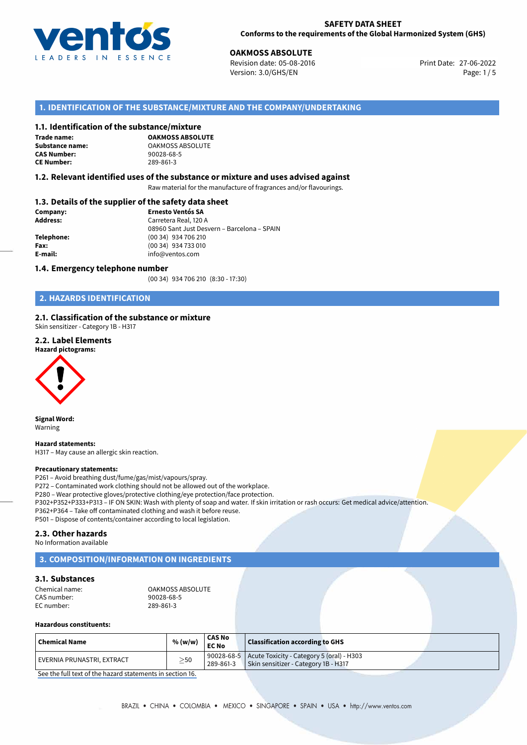

**27-06-2022 POAKMOSS ABSOLUTE**<br>
27-06-2022 Print Date: 05-08-2016 Print Date: 27-06-2022 Version: 3.0/GHS/EN Page: 1/5

# **1. IDENTIFICATION OF THE SUBSTANCE/MIXTURE AND THE COMPANY/UNDERTAKING**

## **1.1. Identification of the substance/mixture**

**Trade name: CAS Number: CE Number:** 289-861-3

**OAKMOSS ABSOLUTE Substance name:** OAKMOSS ABSOLUTE<br> **CAS Number:** 90028-68-5

## **1.2. Relevant identified uses of the substance or mixture and uses advised against**

Raw material for the manufacture of fragrances and/or flavourings.

# **1.3. Details of the supplier of the safety data sheet**

| Company:        | <b>Ernesto Ventós SA</b>                    |
|-----------------|---------------------------------------------|
| <b>Address:</b> | Carretera Real, 120 A                       |
|                 | 08960 Sant Just Desvern - Barcelona - SPAIN |
| Telephone:      | (00 34) 934 706 210                         |
| Fax:            | (00 34) 934 733 010                         |
| E-mail:         | info@ventos.com                             |
|                 |                                             |

### **1.4. Emergency telephone number**

(00 34) 934 706 210 (8:30 - 17:30)

# **2. HAZARDS IDENTIFICATION**

## **2.1. Classification of the substance or mixture**

Skin sensitizer - Category 1B - H317

# **2.2. Label Elements**



**Signal Word:** Warning

**Hazard statements:** H317 – May cause an allergic skin reaction.

### **Precautionary statements:**

P261 – Avoid breathing dust/fume/gas/mist/vapours/spray.

P272 – Contaminated work clothing should not be allowed out of the workplace.

P280 – Wear protective gloves/protective clothing/eye protection/face protection.

P302+P352+P333+P313 – IF ON SKIN: Wash with plenty of soap and water. If skin irritation or rash occurs: Get medical advice/attention.

P362+P364 – Take off contaminated clothing and wash it before reuse.

P501 – Dispose of contents/container according to local legislation.

# **2.3. Other hazards**

No Information available

# **3. COMPOSITION/INFORMATION ON INGREDIENTS**

# **3.1. Substances**

| Chemical name: | <b>OAKMOSS ABSOLUTE</b> |
|----------------|-------------------------|
| CAS number:    | 90028-68-5              |
| EC number:     | 289-861-3               |

## **Hazardous constituents:**

| ' Chemical Name            | % (w/w)   | <b>CAS No</b><br><b>EC No</b> | <b>Classification according to GHS</b>                                                         |  |
|----------------------------|-----------|-------------------------------|------------------------------------------------------------------------------------------------|--|
| EVERNIA PRUNASTRI, EXTRACT | $\geq$ 50 | 289-861-3                     | 90028-68-5   Acute Toxicity - Category 5 (oral) - H303<br>Skin sensitizer - Category 1B - H317 |  |

[See the full text of the hazard statements in section 16.](#page--1-0)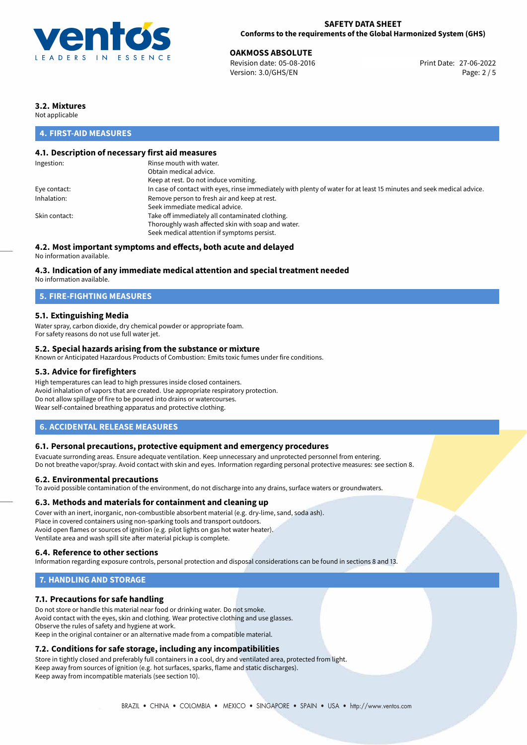

## **SAFETY DATA SHEET Conforms to the requirements of the Global Harmonized System (GHS)**

27-06-2022 **OAKMOSS ABSOLUTE** Revision date: 05-08-2016 Print Date: Version: 3.0/GHS/EN Page: 2 / 5

# **3.2. Mixtures**

Not applicable

# **4. FIRST-AID MEASURES**

# **4.1. Description of necessary first aid measures**

| Ingestion:    | Rinse mouth with water.                                                                                               |
|---------------|-----------------------------------------------------------------------------------------------------------------------|
|               | Obtain medical advice.                                                                                                |
|               | Keep at rest. Do not induce vomiting.                                                                                 |
| Eye contact:  | In case of contact with eyes, rinse immediately with plenty of water for at least 15 minutes and seek medical advice. |
| Inhalation:   | Remove person to fresh air and keep at rest.                                                                          |
|               | Seek immediate medical advice.                                                                                        |
| Skin contact: | Take off immediately all contaminated clothing.                                                                       |
|               | Thoroughly wash affected skin with soap and water.                                                                    |
|               | Seek medical attention if symptoms persist.                                                                           |
|               |                                                                                                                       |

# **4.2. Most important symptoms and effects, both acute and delayed**

No information available.

# **4.3. Indication of any immediate medical attention and special treatment needed**

No information available.

# **5. FIRE-FIGHTING MEASURES**

# **5.1. Extinguishing Media**

Water spray, carbon dioxide, dry chemical powder or appropriate foam. For safety reasons do not use full water jet.

## **5.2. Special hazards arising from the substance or mixture**

Known or Anticipated Hazardous Products of Combustion: Emits toxic fumes under fire conditions.

## **5.3. Advice for firefighters**

High temperatures can lead to high pressures inside closed containers. Avoid inhalation of vapors that are created. Use appropriate respiratory protection. Do not allow spillage of fire to be poured into drains or watercourses. Wear self-contained breathing apparatus and protective clothing.

# **6. ACCIDENTAL RELEASE MEASURES**

## **6.1. Personal precautions, protective equipment and emergency procedures**

Evacuate surronding areas. Ensure adequate ventilation. Keep unnecessary and unprotected personnel from entering. Do not breathe vapor/spray. Avoid contact with skin and eyes. Information regarding personal protective measures: see section 8.

## **6.2. Environmental precautions**

To avoid possible contamination of the environment, do not discharge into any drains, surface waters or groundwaters.

## **6.3. Methods and materials for containment and cleaning up**

Cover with an inert, inorganic, non-combustible absorbent material (e.g. dry-lime, sand, soda ash). Place in covered containers using non-sparking tools and transport outdoors. Avoid open flames or sources of ignition (e.g. pilot lights on gas hot water heater). Ventilate area and wash spill site after material pickup is complete.

# **6.4. Reference to other sections**

Information regarding exposure controls, personal protection and disposal considerations can be found in sections 8 and 13.

# **7. HANDLING AND STORAGE**

# **7.1. Precautions for safe handling**

Do not store or handle this material near food or drinking water. Do not smoke. Avoid contact with the eyes, skin and clothing. Wear protective clothing and use glasses. Observe the rules of safety and hygiene at work. Keep in the original container or an alternative made from a compatible material.

# **7.2. Conditions for safe storage, including any incompatibilities**

Store in tightly closed and preferably full containers in a cool, dry and ventilated area, protected from light. Keep away from sources of ignition (e.g. hot surfaces, sparks, flame and static discharges). Keep away from incompatible materials (see section 10).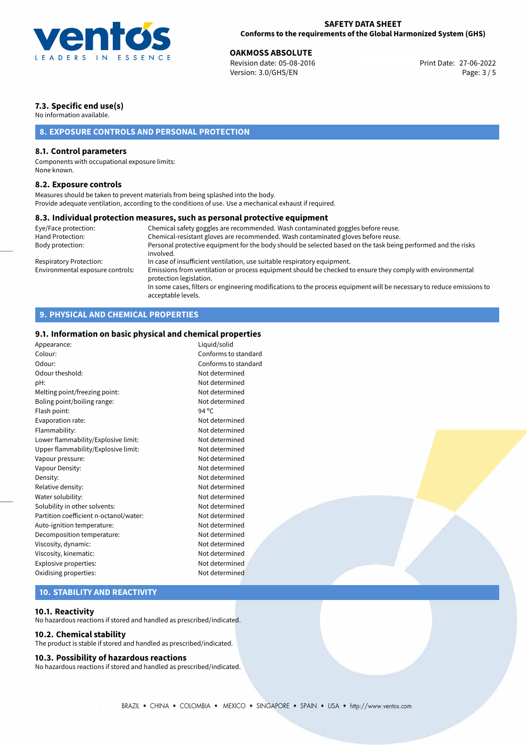

27-06-2022 **OAKMOSS ABSOLUTE** Revision date: 05-08-2016 Print Date: Version: 3.0/GHS/EN Page: 3 / 5

# **7.3. Specific end use(s)**

No information available.

# **8. EXPOSURE CONTROLS AND PERSONAL PROTECTION**

# **8.1. Control parameters**

Components with occupational exposure limits: None known.

## **8.2. Exposure controls**

Measures should be taken to prevent materials from being splashed into the body. Provide adequate ventilation, according to the conditions of use. Use a mechanical exhaust if required.

## **8.3. Individual protection measures, such as personal protective equipment**

acceptable levels.

| Chemical safety goggles are recommended. Wash contaminated goggles before reuse.                                                      |
|---------------------------------------------------------------------------------------------------------------------------------------|
| Chemical-resistant gloves are recommended. Wash contaminated gloves before reuse.                                                     |
| Personal protective equipment for the body should be selected based on the task being performed and the risks<br>involved.            |
| In case of insufficient ventilation, use suitable respiratory equipment.                                                              |
| Emissions from ventilation or process equipment should be checked to ensure they comply with environmental<br>protection legislation. |
| In some cases, filters or engineering modifications to the process equipment will be necessary to reduce emissions to                 |
|                                                                                                                                       |

# **9. PHYSICAL AND CHEMICAL PROPERTIES**

# **9.1. Information on basic physical and chemical properties**

| Appearance:                            | Liquid/solid         |
|----------------------------------------|----------------------|
| Colour:                                | Conforms to standard |
| Odour:                                 | Conforms to standard |
| Odour theshold:                        | Not determined       |
| pH:                                    | Not determined       |
| Melting point/freezing point:          | Not determined       |
| Boling point/boiling range:            | Not determined       |
| Flash point:                           | $94^{\circ}$ C       |
| Evaporation rate:                      | Not determined       |
| Flammability:                          | Not determined       |
| Lower flammability/Explosive limit:    | Not determined       |
| Upper flammability/Explosive limit:    | Not determined       |
| Vapour pressure:                       | Not determined       |
| Vapour Density:                        | Not determined       |
| Density:                               | Not determined       |
| Relative density:                      | Not determined       |
| Water solubility:                      | Not determined       |
| Solubility in other solvents:          | Not determined       |
| Partition coefficient n-octanol/water: | Not determined       |
| Auto-ignition temperature:             | Not determined       |
| Decomposition temperature:             | Not determined       |
| Viscosity, dynamic:                    | Not determined       |
| Viscosity, kinematic:                  | Not determined       |
| Explosive properties:                  | Not determined       |
| Oxidising properties:                  | Not determined       |
|                                        |                      |

# **10. STABILITY AND REACTIVITY**

# **10.1. Reactivity**

No hazardous reactions if stored and handled as prescribed/indicated.

## **10.2. Chemical stability**

The product is stable if stored and handled as prescribed/indicated.

## **10.3. Possibility of hazardous reactions**

No hazardous reactions if stored and handled as prescribed/indicated.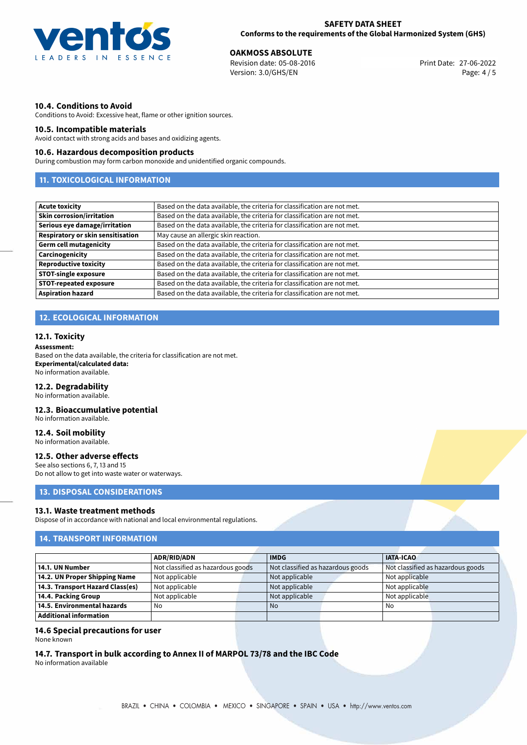

27-06-2022 **OAKMOSS ABSOLUTE** Revision date: 05-08-2016 Print Date: Version: 3.0/GHS/EN Page: 4 / 5

# **10.4. Conditions to Avoid**

Conditions to Avoid: Excessive heat, flame or other ignition sources.

## **10.5. Incompatible materials**

Avoid contact with strong acids and bases and oxidizing agents.

## **10.6. Hazardous decomposition products**

During combustion may form carbon monoxide and unidentified organic compounds.

# **11. TOXICOLOGICAL INFORMATION**

| <b>Acute toxicity</b>                    | Based on the data available, the criteria for classification are not met. |  |  |
|------------------------------------------|---------------------------------------------------------------------------|--|--|
| <b>Skin corrosion/irritation</b>         | Based on the data available, the criteria for classification are not met. |  |  |
| Serious eye damage/irritation            | Based on the data available, the criteria for classification are not met. |  |  |
| <b>Respiratory or skin sensitisation</b> | May cause an allergic skin reaction.                                      |  |  |
| <b>Germ cell mutagenicity</b>            | Based on the data available, the criteria for classification are not met. |  |  |
| Carcinogenicity                          | Based on the data available, the criteria for classification are not met. |  |  |
| <b>Reproductive toxicity</b>             | Based on the data available, the criteria for classification are not met. |  |  |
| <b>STOT-single exposure</b>              | Based on the data available, the criteria for classification are not met. |  |  |
| STOT-repeated exposure                   | Based on the data available, the criteria for classification are not met. |  |  |
| <b>Aspiration hazard</b>                 | Based on the data available, the criteria for classification are not met. |  |  |

# **12. ECOLOGICAL INFORMATION**

## **12.1. Toxicity**

### **Assessment:**

Based on the data available, the criteria for classification are not met. **Experimental/calculated data:** No information available.

## **12.2. Degradability**

No information available.

## **12.3. Bioaccumulative potential**

No information available.

# **12.4. Soil mobility**

No information available.

## **12.5. Other adverse effects**

See also sections 6, 7, 13 and 15 Do not allow to get into waste water or waterways.

# **13. DISPOSAL CONSIDERATIONS**

## **13.1. Waste treatment methods**

Dispose of in accordance with national and local environmental regulations.

# **14. TRANSPORT INFORMATION**

|                                  | <b>ADR/RID/ADN</b>                |  | <b>IMDG</b>                       |  | <b>IATA-ICAO</b>                  |  |
|----------------------------------|-----------------------------------|--|-----------------------------------|--|-----------------------------------|--|
| 14.1. UN Number                  | Not classified as hazardous goods |  | Not classified as hazardous goods |  | Not classified as hazardous goods |  |
| 14.2. UN Proper Shipping Name    | Not applicable                    |  | Not applicable                    |  | Not applicable                    |  |
| 14.3. Transport Hazard Class(es) | Not applicable                    |  | Not applicable                    |  | Not applicable                    |  |
| 14.4. Packing Group              | Not applicable                    |  | Not applicable                    |  | Not applicable                    |  |
| 14.5. Environmental hazards      | No                                |  | <b>No</b>                         |  | No                                |  |
| Additional information           |                                   |  |                                   |  |                                   |  |

## **14.6 Special precautions for user**

None known

# **14.7. Transport in bulk according to Annex II of MARPOL 73/78 and the IBC Code**

No information available